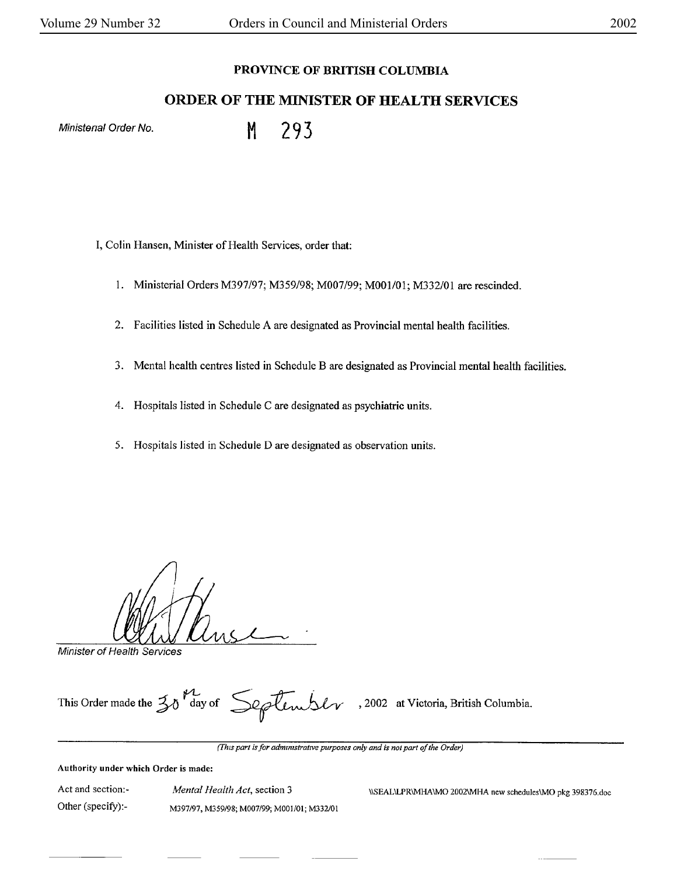## **PROVINCE OF BRITISH COLUMBIA**

# **ORDER OF THE MINISTER OF HEALTH SERVICES**

Ministerial Order No. M. 293

I, Colin Hansen, Minister of Health Services, order that:

- 1. Ministerial Orders M397/97; M359/98; M007/99; M00l/01; M332/01 are rescinded.
- 2. Facilities listed in Schedule A are designated as Provincial mental health facilities.
- 3. Mental health centres listed in Schedule Bare designated as Provincial mental health facilities.
- 4. Hospitals listed in Schedule C are designated as psychiatric units.
- 5. Hospitals listed in Schedule Dare designated as observation units.

Minister of Health Services

This Order made the  $\frac{1}{20}$ <sup>V</sup>day of  $\frac{1}{20}$ lembl $\gamma$ , 2002 at Victoria, British Columbia.

*(Fhzs part is for admmutratwe purposes only and is not part of the Order)* 

#### **Authority under which Order is made:**

Act and section:- Other (specify):-

*Mental Health Act,* section 3 M397/97, M359/98; M007/99; M00l/01; M332/0t

\\SEAL\LPR\MHA \MO 2002\MHA new schedules\MO pkg 398376.doc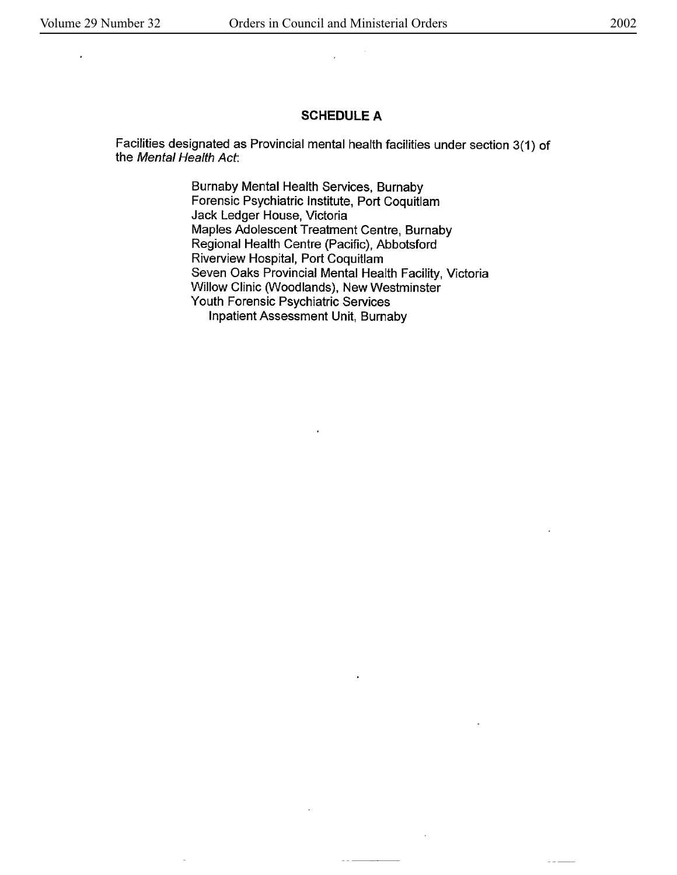l,

#### **SCHEDULE A**

Facilities designated as Provincial mental health facilities under section 3(1) of the Mental Health Act:

> Burnaby Mental Health Services, Burnaby Forensic Psychiatric Institute, Port Coquitlam Jack Ledger House, Victoria Maples Adolescent Treatment Centre, Burnaby Regional Health Centre (Pacific), Abbotsford Riverview Hospital, Port Coquitlam Seven Oaks Provincial Mental Health Facility, Victoria Willow Clinic (Woodlands), New Westminster Youth Forensic Psychiatric Services Inpatient Assessment Unit, Burnaby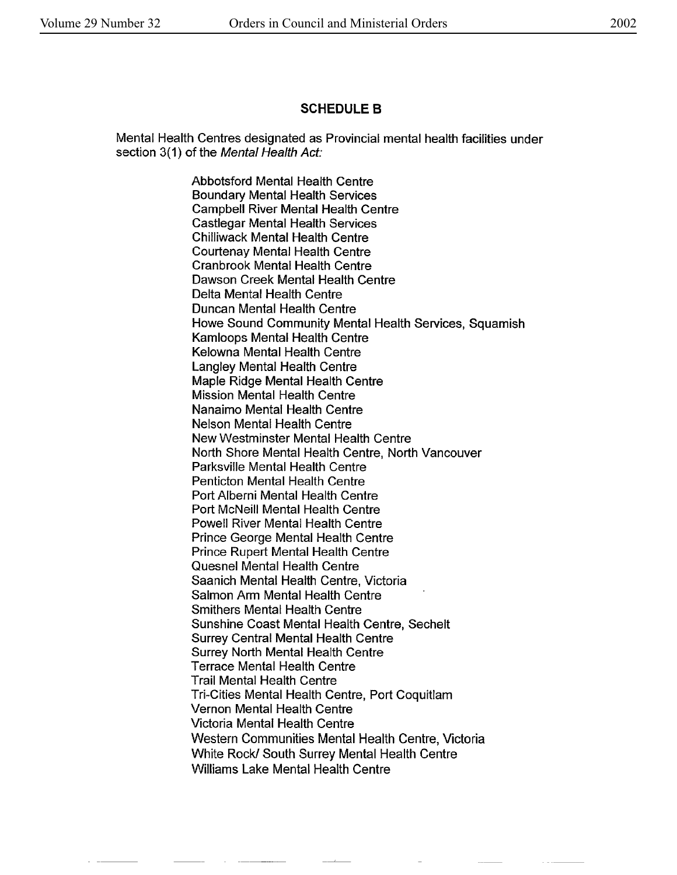### **SCHEDULE B**

Mental Health Centres designated as Provincial mental health **facilities** under section 3(1) of the Mental Health Act:

> Abbotsford Mental Health Centre Boundary Mental Health Services Campbell River Mental Health Centre Castlegar Mental Health Services Chilliwack Mental Health Centre Courtenay Mental Health Centre Cranbrook Mental Health Centre Dawson Creek Mental Health Centre Delta Mental Health Centre Duncan Mental Health Centre Howe Sound Community Mental Health Services, Squamish Kamloops Mental Health Centre Kelowna Mental Health Centre Langley Mental Health Centre Maple Ridge Mental Health Centre Mission Mental Health Centre Nanaimo Mental Health Centre Nelson Mental Health Centre New Westminster Mental Health Centre North Shore Mental Health Centre, North Vancouver Parksville Mental Health Centre Penticton Mental Health Centre Port Alberni Mental Health Centre Port McNeil! Mental Health Centre Powell River Mental Health Centre Prince George Mental Health Centre Prince Rupert Mental Health Centre Quesnel Mental Health Centre Saanich Mental Health Centre, Victoria Salmon Arm Mental Health Centre Smithers Mental Health Centre Sunshine Coast Mental Health Centre, Sechelt Surrey Central Mental Health Centre Surrey North Mental Health Centre Terrace Mental Health Centre Trail Mental Health Centre Tri-Cities Mental Health Centre, Port Coquitlam Vernon Mental Health Centre Victoria Mental Health Centre Western Communities Mental Health Centre, Victoria White Rock/ South Surrey Mental Health Centre Williams Lake Mental Health Centre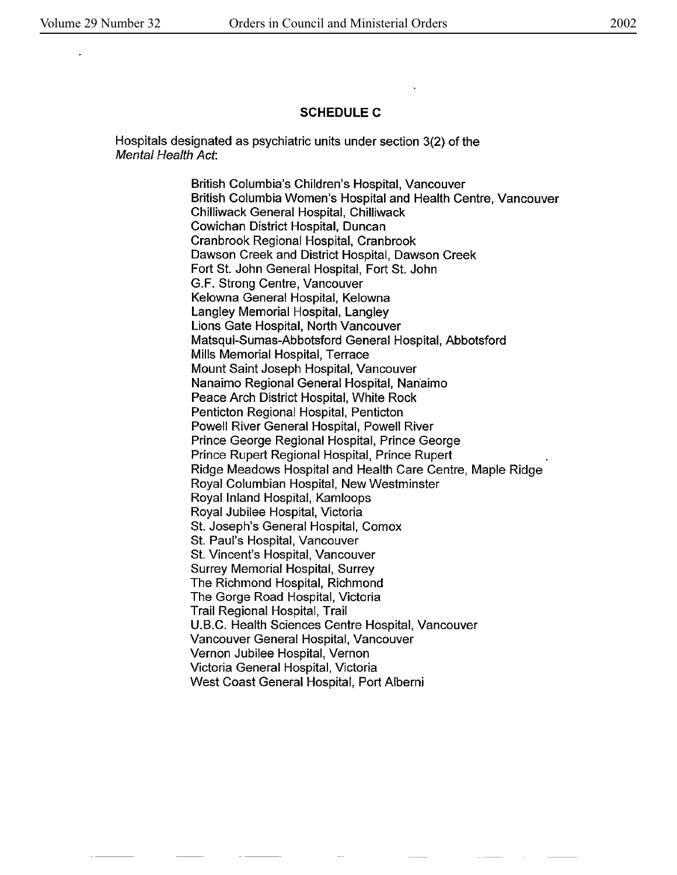#### **SCHEDULEC**

Hospitals designated as psychiatric units under section 3(2) of the Mental Health Act:

> British Columbia's Children's Hospital, Vancouver British Columbia Women's Hospital and Health Centre, Vancouver Chilliwack General Hospital, Chilliwack Cowichan District Hospital, Duncan Cranbrook Regional Hospital, Cranbrook Dawson Creek and District Hospital, Dawson Creek Fort St. John General Hospital, Fort St. John G.F. Strong Centre, Vancouver Kelowna General Hospital, Kelowna Langley Memorial Hospital, Langley Lions Gate Hospital, North Vancouver Matsqui-Sumas-Abbotsford General Hospital, Abbotsford Mills Memorial Hospital, Terrace Mount Saint Joseph Hospital, Vancouver Nanaimo Regional General Hospital, Nanaimo Peace Arch District Hospital, White Rock Penticton Regional Hospital, Penticton Powell River General Hospital, Powell River Prince George Regional Hospital, Prince George Prince Rupert Regional Hospital, Prince Rupert Ridge Meadows Hospital and Health Care Centre, Maple Ridge Royal Columbian Hospital, New Westminster Royal Inland Hospital, Kamloops Royal Jubilee Hospital, Victoria St. Joseph's General Hospital, Comox St. Paul's Hospital, Vancouver St. Vincent's Hospital, Vancouver Surrey Memorial Hospital, Surrey The Richmond Hospital, Richmond The Gorge Road Hospital, Victoria Trail Regional Hospital, Trail U.B.C. Health Sciences Centre Hospital, Vancouver Vancouver General Hospital, Vancouver Vernon Jubilee Hospital, Vernon Victoria General Hospital, Victoria West Coast General Hospital, Port Alberni